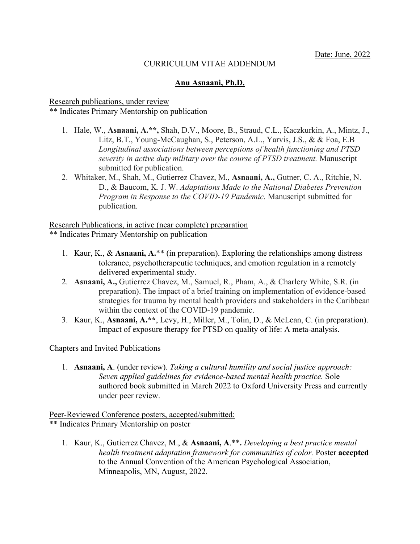### CURRICULUM VITAE ADDENDUM

### **Anu Asnaani, Ph.D.**

#### Research publications, under review \*\* Indicates Primary Mentorship on publication

- 1. Hale, W., **Asnaani, A.\*\*,** Shah, D.V., Moore, B., Straud, C.L., Kaczkurkin, A., Mintz, J., Litz, B.T., Young-McCaughan, S., Peterson, A.L., Yarvis, J.S., & & Foa, E.B *Longitudinal associations between perceptions of health functioning and PTSD severity in active duty military over the course of PTSD treatment.* Manuscript submitted for publication.
- 2. Whitaker, M., Shah, M., Gutierrez Chavez, M., **Asnaani, A.,** Gutner, C. A., Ritchie, N. D., & Baucom, K. J. W. *Adaptations Made to the National Diabetes Prevention Program in Response to the COVID-19 Pandemic.* Manuscript submitted for publication.

Research Publications, in active (near complete) preparation \*\* Indicates Primary Mentorship on publication

- 1. Kaur, K., & **Asnaani, A.**\*\* (in preparation). Exploring the relationships among distress tolerance, psychotherapeutic techniques, and emotion regulation in a remotely delivered experimental study.
- 2. **Asnaani, A.,** Gutierrez Chavez, M., Samuel, R., Pham, A., & Charlery White, S.R. (in preparation). The impact of a brief training on implementation of evidence-based strategies for trauma by mental health providers and stakeholders in the Caribbean within the context of the COVID-19 pandemic.
- 3. Kaur, K., **Asnaani, A.\*\***, Levy, H., Miller, M., Tolin, D., & McLean, C. (in preparation). Impact of exposure therapy for PTSD on quality of life: A meta-analysis.

### Chapters and Invited Publications

1. **Asnaani, A**. (under review). *Taking a cultural humility and social justice approach: Seven applied guidelines for evidence-based mental health practice.* Sole authored book submitted in March 2022 to Oxford University Press and currently under peer review.

Peer-Reviewed Conference posters, accepted/submitted: \*\* Indicates Primary Mentorship on poster

1. Kaur, K., Gutierrez Chavez, M., & **Asnaani, A**.\*\***.** *Developing a best practice mental health treatment adaptation framework for communities of color.* Poster **accepted**  to the Annual Convention of the American Psychological Association, Minneapolis, MN, August, 2022.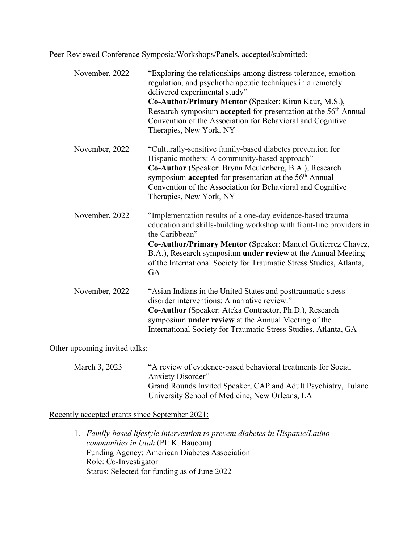Peer-Reviewed Conference Symposia/Workshops/Panels, accepted/submitted:

| November, 2022 | "Exploring the relationships among distress tolerance, emotion<br>regulation, and psychotherapeutic techniques in a remotely<br>delivered experimental study"<br>Co-Author/Primary Mentor (Speaker: Kiran Kaur, M.S.),<br>Research symposium accepted for presentation at the 56 <sup>th</sup> Annual<br>Convention of the Association for Behavioral and Cognitive<br>Therapies, New York, NY |
|----------------|------------------------------------------------------------------------------------------------------------------------------------------------------------------------------------------------------------------------------------------------------------------------------------------------------------------------------------------------------------------------------------------------|
| November, 2022 | "Culturally-sensitive family-based diabetes prevention for<br>Hispanic mothers: A community-based approach"<br>Co-Author (Speaker: Brynn Meulenberg, B.A.), Research<br>symposium accepted for presentation at the 56 <sup>th</sup> Annual<br>Convention of the Association for Behavioral and Cognitive<br>Therapies, New York, NY                                                            |
| November, 2022 | "Implementation results of a one-day evidence-based trauma<br>education and skills-building workshop with front-line providers in<br>the Caribbean"<br>Co-Author/Primary Mentor (Speaker: Manuel Gutierrez Chavez,<br>B.A.), Research symposium under review at the Annual Meeting<br>of the International Society for Traumatic Stress Studies, Atlanta,<br><b>GA</b>                         |
| November, 2022 | "Asian Indians in the United States and posttraumatic stress<br>disorder interventions: A narrative review."<br>Co-Author (Speaker: Ateka Contractor, Ph.D.), Research<br>symposium <b>under review</b> at the Annual Meeting of the<br>International Society for Traumatic Stress Studies, Atlanta, GA                                                                                        |

# Other upcoming invited talks:

March 3, 2023 "A review of evidence-based behavioral treatments for Social Anxiety Disorder" Grand Rounds Invited Speaker, CAP and Adult Psychiatry, Tulane University School of Medicine, New Orleans, LA

Recently accepted grants since September 2021:

1. *Family-based lifestyle intervention to prevent diabetes in Hispanic/Latino communities in Utah* (PI: K. Baucom) Funding Agency: American Diabetes Association Role: Co-Investigator Status: Selected for funding as of June 2022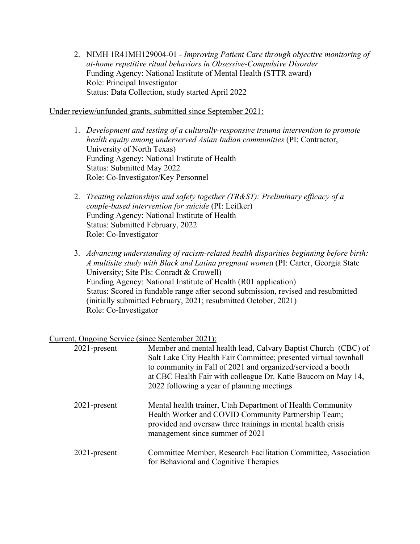2. NIMH 1R41MH129004-01 - *Improving Patient Care through objective monitoring of at-home repetitive ritual behaviors in Obsessive-Compulsive Disorder* Funding Agency: National Institute of Mental Health (STTR award) Role: Principal Investigator Status: Data Collection, study started April 2022

Under review/unfunded grants, submitted since September 2021:

- 1. *Development and testing of a culturally-responsive trauma intervention to promote health equity among underserved Asian Indian communities* (PI: Contractor, University of North Texas) Funding Agency: National Institute of Health Status: Submitted May 2022 Role: Co-Investigator/Key Personnel
- 2. *Treating relationships and safety together (TR&ST): Preliminary efficacy of a couple-based intervention for suicide* (PI: Leifker) Funding Agency: National Institute of Health Status: Submitted February, 2022 Role: Co-Investigator
- 3. *Advancing understanding of racism-related health disparities beginning before birth: A multisite study with Black and Latina pregnant wome*n (PI: Carter, Georgia State University; Site PIs: Conradt & Crowell) Funding Agency: National Institute of Health (R01 application) Status: Scored in fundable range after second submission, revised and resubmitted (initially submitted February, 2021; resubmitted October, 2021) Role: Co-Investigator

# Current, Ongoing Service (since September 2021):

| $2021$ -present | Member and mental health lead, Calvary Baptist Church (CBC) of<br>Salt Lake City Health Fair Committee; presented virtual townhall<br>to community in Fall of 2021 and organized/serviced a booth<br>at CBC Health Fair with colleague Dr. Katie Baucom on May 14,<br>2022 following a year of planning meetings |
|-----------------|------------------------------------------------------------------------------------------------------------------------------------------------------------------------------------------------------------------------------------------------------------------------------------------------------------------|
| $2021$ -present | Mental health trainer, Utah Department of Health Community<br>Health Worker and COVID Community Partnership Team;<br>provided and oversaw three trainings in mental health crisis<br>management since summer of 2021                                                                                             |
| $2021$ -present | Committee Member, Research Facilitation Committee, Association<br>for Behavioral and Cognitive Therapies                                                                                                                                                                                                         |